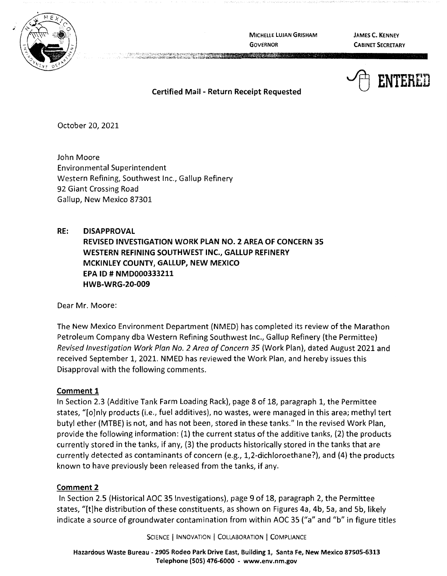

MICHELLE **LUJAN GRISHAM GOVERNOR** 

**JAMES C. KENNEY CABINET SECRETARY** 



**Certified Mail** - **Return Receipt Requested** 

October 20, 2021

John Moore Environmental Superintendent Western Refining, Southwest Inc., Gallup Refinery 92 Giant Crossing Road Gallup, New Mexico 87301

# **RE: DISAPPROVAL REVISED INVESTIGATION WORK PLAN NO. 2 AREA OF CONCERN 35 WESTERN REFINING SOUTHWEST INC., GALLUP REFINERY MCKINLEY COUNTY, GALLUP, NEW MEXICO EPA ID# NMD000333211 HWB-WRG-20-009**

Dear Mr. Moore:

The New Mexico Environment Department (NMED) has completed its review of the Marathon Petroleum Company dba Western Refining Southwest Inc., Gallup Refinery (the Permittee) Revised Investigation Work Plan No. 2 Area of Concern 35 (Work Plan}, dated August 2021 and received September 1, 2021. NMED has reviewed the Work Plan, and hereby issues this Disapproval with the following comments.

# **Comment 1**

In Section 2.3 (Additive Tank Farm Loading Rack}, page 8 of 18, paragraph 1, the Permittee states, "[o]nly products (i.e., fuel additives}, no wastes, were managed in this area; methyl tert butyl ether (MTBE) is not, and has not been, stored in these tanks." In the revised Work Plan, provide the following information: (1) the current status of the additive tanks, (2) the products currently stored in the tanks, if any, (3) the products historically stored in the tanks that are currently detected as contaminants of concern (e.g., 1,2-dichloroethane?}, and (4) the products known to have previously been released from the tanks, if any.

# **Comment 2**

In Section 2.5 (Historical AOC 35 Investigations), page 9 of 18, paragraph 2, the Permittee states, "[t] he distribution of these constituents, as shown on Figures 4a, 4b, Sa, and Sb, likely indicate a source of groundwater contamination from within AOC 35 ("a" and "b" in figure titles

SCIENCE | INNOVATION | COLLABORATION | COMPLIANCE

**Hazardous Waste Bureau** - **2905 Rodeo Park Drive East, Building 1, Santa Fe, New Mexico 87505-6313 Telephone (SOS} 476-6000** - **www.env.nm.gov**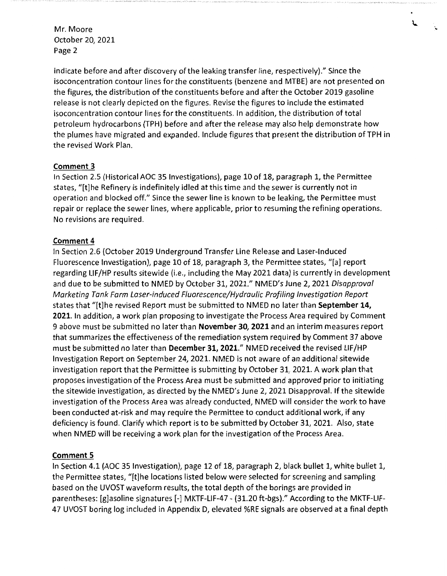indicate before and after discovery of the leaking transfer line, respectively)." Since the isoconcentration contour lines for the constituents (benzene and MTBE) are not presented on the figures, the distribution of the constituents before and after the October 2019 gasoline release is not clearly depicted on the figures. Revise the figures to include the estimated isoconcentration contour lines for the constituents. In addition, the distribution of total petroleum hydrocarbons (TPH) before and after the release may also help demonstrate how the plumes have migrated and expanded. Include figures that present the distribution of TPH in the revised Work Plan.

# **Comment 3**

In Section 2.5 (Historical AOC 35 Investigations), page 10 of 18, paragraph 1, the Permittee states, "[t]he Refinery is indefinitely idled at this time and the sewer is currently not in operation and blocked off." Since the sewer line is known to be leaking, the Permittee must repair or replace the sewer lines, where applicable, prior to resuming the refining operations. No revisions are required.

### **Comment 4**

In Section 2.6 (October 2019 Underground Transfer Line Release and Laser-Induced Fluorescence Investigation), page 10 of 18, paragraph 3, the Permittee states, "[a] report regarding LIF/HP results sitewide (i.e., including the May 2021 data) is currently in development and due to be submitted to NMED by October 31, 2021." NMED's June 2, 2021 Disapproval Marketing Tank Farm Laser-induced Fluorescence/Hydraulic Profiling Investigation Report states that "[t]he revised Report must be submitted to NMED no later than **September 14, 2021.** In addition, a work plan proposing to investigate the Process Area required by Comment 9 above must be submitted no later than **November 30, 2021** and an interim measures report that summarizes the effectiveness of the remediation system required by Comment 37 above must be submitted no later than **December 31, 2021."** NMED received the revised LIF/HP Investigation Report on September 24, 2021. NMED is not aware of an additional sitewide investigation report that the Permittee is submitting by October 31, 2021. A work plan that proposes investigation of the Process Area must be submitted and approved prior to initiating the sitewide investigation, as directed by the NMED's June 2, 2021 Disapproval. If the sitewide investigation of the Process Area was already conducted, NMED will consider the work to have been conducted at-risk and may require the Permittee to conduct additional work, if any deficiency is found. Clarify which report is to be submitted by October 31, 2021. Also, state when NMED will be receiving a work plan for the investigation of the Process Area.

# **Comment 5**

In Section 4.1 (AOC 35 Investigation), page 12 of 18, paragraph 2, black bullet 1, white bullet 1, the Permittee states, "[t]he locations listed below were selected for screening and sampling based on the UVOST waveform results, the total depth of the borings are provided in parentheses: [g]asoline signatures [-] MKTF-LIF-47 - (31.20 ft-bgs)." According to the MKTF-LIF-47 UVOST boring log included in Appendix D, elevated %RE signals are observed at a final depth  $\mathbf{L}$ 

· ..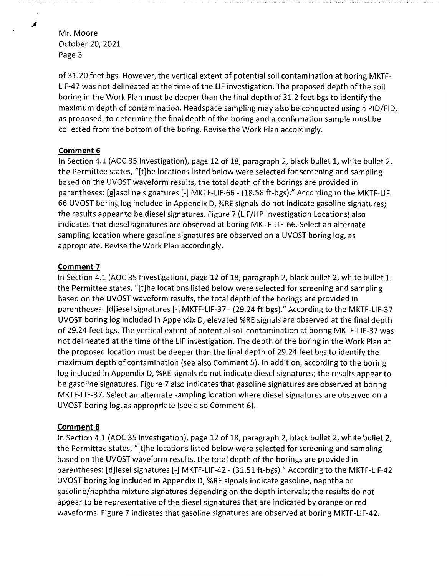of 31.20 feet bgs. However, the vertical extent of potential soil contamination at boring MKTF-LIF-47 was not delineated at the time of the LIF investigation. The proposed depth of the soil boring in the Work Plan must be deeper than the final depth of 31.2 feet bgs to identify the maximum depth of contamination. Headspace sampling may also be conducted using a PID/FID, as proposed, to determine the final depth of the boring and a confirmation sample must be collected from the bottom of the boring. Revise the Work Plan accordingly.

### **Comment 6**

In Section 4.1 (AOC 35 Investigation), page 12 of 18, paragraph 2, black bullet 1, white bullet 2, the Permittee states, "[t]he locations listed below were selected for screening and sampling based on the UVOST waveform results, the total depth of the borings are provided in parentheses: [g]asoline signatures[-] MKTF-LIF-66 - (18.58 ft-bgs)." According to the MKTF-LIF-66 UVOST boring log included in Appendix D, %RE signals do not indicate gasoline signatures; the results appear to be diesel signatures. Figure 7 (LIF/HP Investigation Locations) also indicates that diesel signatures are observed at boring MKTF-LIF-66. Select an alternate sampling location where gasoline signatures are observed on a UVOST boring log, as appropriate. Revise the Work Plan accordingly.

### **Comment 7**

In Section 4.1 (AOC 35 Investigation), page 12 of 18, paragraph 2, black bullet 2, white bullet 1, the Permittee states, "[t]he locations listed below were selected for screening and sampling based on the UVOST waveform results, the total depth of the borings are provided in parentheses: [d]iesel signatures[-] MKTF-LIF-37 - (29.24 ft-bgs)." According to the MKTF-LIF-37 UVOST boring log included in Appendix D, elevated %RE signals are observed at the final depth of 29.24 feet bgs. The vertical extent of potential soil contamination at boring MKTF-LIF-37 was not delineated at the time of the LIF investigation. The depth of the boring in the Work Plan at the proposed location must be deeper than the final depth of 29.24 feet bgs to identify the maximum depth of contamination (see also Comment 5). In addition, according to the boring log included in Appendix D, %RE signals do not indicate diesel signatures; the results appear to be gasoline signatures. Figure 7 also indicates that gasoline signatures are observed at boring MKTF-LIF-37. Select an alternate sampling location where diesel signatures are observed on a UVOST boring log, as appropriate (see also Comment 6).

# **Comment 8**

In Section 4.1 (AOC 35 Investigation), page 12 of 18, paragraph 2, black bullet 2, white bullet 2, the Permittee states, "[t]he locations listed below were selected for screening and sampling based on the UVOST waveform results, the total depth of the borings are provided in parentheses: [d]iesel signatures [-] MKTF-LIF-42 - (31.51 ft-bgs)." According to the MKTF-LIF-42 UVOST boring log included in Appendix D, %RE signals indicate gasoline, naphtha or gasoline/naphtha mixture signatures depending on the depth intervals; the results do not appear to be representative of the diesel signatures that are indicated by orange or red waveforms. Figure 7 indicates that gasoline signatures are observed at boring MKTF-LIF-42.

*.I*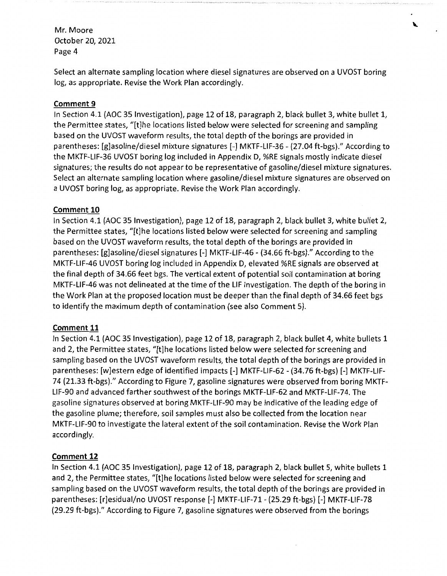Select an alternate sampling location where diesel signatures are observed on a UVOST boring log, as appropriate. Revise the Work Plan accordingly.

### **Comment 9**

In Section 4.1 (AOC 35 Investigation), page 12 of 18, paragraph 2, black bullet 3, white bullet 1, the Permittee states, "[t]he locations listed below were selected for screening and sampling based on the UVOST waveform results, the total depth of the borings are provided in parentheses: [g]asoline/diesel mixture signatures[-] MKTF-LIF-36 - (27.04 ft-bgs)." According to the MKTF-LIF-36 UVOST boring log included in Appendix D, %RE signals mostly indicate diesel signatures; the results do not appear to be representative of gasoline/diesel mixture signatures. Select an alternate sampling location where gasoline/diesel mixture signatures are observed on a UVOST boring log, as appropriate. Revise the Work Plan accordingly.

### **Comment 10**

In Section 4.1 (AOC 35 Investigation), page 12 of 18, paragraph 2, black bullet 3, white bullet 2, the Permittee states, "[t]he locations listed below were selected for screening and sampling based on the UVOST waveform results, the total depth of the borings are provided in parentheses: [g]asoline/diesel signatures[-] MKTF-LIF-46 - (34.66 ft-bgs)." According to the MKTF-LIF-46 UVOST boring log included in Appendix D, elevated %RE signals are observed at the final depth of 34.66 feet bgs. The vertical extent of potential soil contamination at boring MKTF-LIF-46 was not delineated at the time of the LIF investigation. The depth of the boring in the Work Plan at the proposed location must be deeper than the final depth of 34.66 feet bgs to identify the maximum depth of contamination (see also Comment 5).

#### **Comment 11**

In Section 4.1 (AOC 35 Investigation), page 12 of 18, paragraph 2, black bullet 4, white bullets 1 and 2, the Permittee states, "[t]he locations listed below were selected for screening and sampling based on the UVOST waveform results, the total depth of the borings are provided in parentheses: [w]estern edge of identified impacts[-] MKTF-LIF-62 - (34.76 ft-bgs) [-] MKTF-LIF-74 (21.33 ft-bgs)." According to Figure 7, gasoline signatures were observed from boring MKTF-LIF-90 and advanced farther southwest of the borings MKTF-LIF-62 and MKTF-LIF-74. The gasoline signatures observed at boring MKTF-LIF-90 may be indicative of the leading edge of the gasoline plume; therefore, soil samples must also be collected from the location near MKTF-LIF-90 to investigate the lateral extent of the soil contamination. Revise the Work Plan accordingly.

# **Comment 12**

In Section 4.1 (AOC 35 Investigation), page 12 of 18, paragraph 2, black bullet 5, white bullets 1 and 2, the Permittee states, "[t]he locations listed below were selected for screening and sampling based on the UVOST waveform results, the total depth of the borings are provided in parentheses: [r]esidual/no UVOST response[-] MKTF-LIF-71- (25.29 ft-bgs) [-] MKTF-LIF-78 (29.29 ft-bgs)." According to Figure 7, gasoline signatures were observed from the borings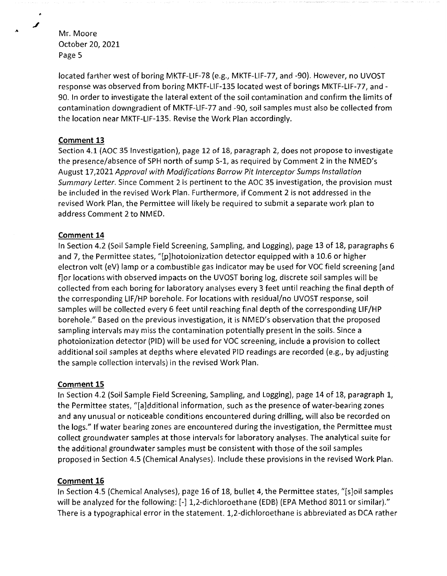located farther west of boring MKTF-LIF-78 (e.g., MKTF-LIF-77, and -90). However, no UVOST response was observed from boring MKTF-LIF-135 located west of borings MKTF-LIF-77, and - 90. In order to investigate the lateral extent of the soil contamination and confirm the limits of contamination downgradient of MKTF-LIF-77 and -90, soil samples must also be collected from the location near MKTF-LIF-135. Revise the Work Plan accordingly.

### **Comment 13**

Section 4.1 (AOC 35 Investigation), page 12 of 18, paragraph 2, does not propose to investigate the presence/absence of SPH north of sump S-1, as required by Comment 2 in the NMED's August 17,2021 Approval with Modifications Borrow Pit Interceptor Sumps Installation Summary Letter. Since Comment 2 is pertinent to the AOC 35 investigation, the provision must be included in the revised Work Plan. Furthermore, if Comment 2 is not addressed in the revised Work Plan, the Permittee will likely be required to submit a separate work plan to address Comment 2 to NMED.

#### **Comment 14**

In Section 4.2 (Soil Sample Field Screening, Sampling, and Logging), page 13 of 18, paragraphs 6 and 7, the Permittee states, "[p]hotoionization detector equipped with a 10.6 or higher electron volt (eV) lamp or a combustible gas indicator may be used for VOC field screening [and f]or locations with observed impacts on the UVOST boring log, discrete soil samples will be collected from each boring for laboratory analyses every 3 feet until reaching the final depth of the corresponding LIF/HP borehole. For locations with residual/no UVOST response, soil samples will be collected every 6 feet until reaching final depth of the corresponding **LIF/HP**  borehole." Based on the previous investigation, it is NMED's observation that the proposed sampling intervals may miss the contamination potentially present in the soils. Since a photoionization detector (PID) will be used for VOC screening, include a provision to collect additional soil samples at depths where elevated PID readings are recorded (e.g., by adjusting the sample collection intervals) in the revised Work Plan.

# **Comment 15**

In Section 4.2 (Soil Sample Field Screening, Sampling, and Logging), page 14 of 18, paragraph 1, the Permittee states, "[a]dditional information, such as the presence of water-bearing zones and any unusual or noticeable conditions encountered during drilling, will also be recorded on the logs." If water bearing zones are encountered during the investigation, the Permittee must collect groundwater samples at those intervals for laboratory analyses. The analytical suite for the additional groundwater samples must be consistent with those of the soil samples proposed in Section 4.5 (Chemical Analyses). Include these provisions in the revised Work Plan.

#### **Comment 16**

In Section 4.5 (Chemical Analyses), page 16 of 18, bullet 4, the Permittee states, "[s]oil samples will be analyzed for the following: [-] 1,2-dichloroethane (EDB) (EPA Method 8011 or similar)." There is a typographical error in the statement. 1,2-dichloroethane is abbreviated as DCA rather

◢